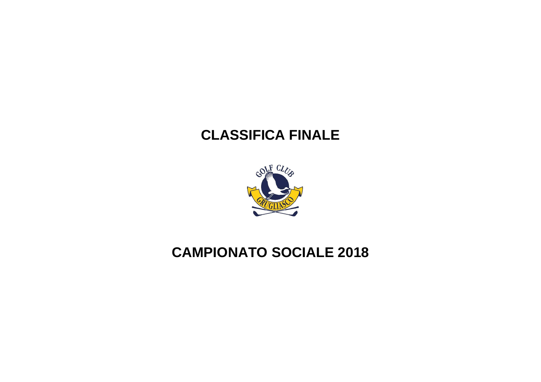# **CLASSIFICA FINALE**



## **CAMPIONATO SOCIALE 2018**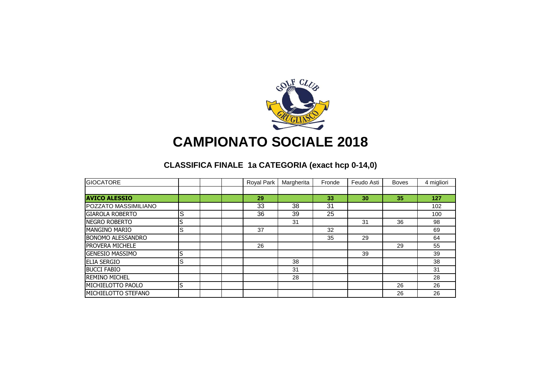

## **CAMPIONATO SOCIALE 2018**

### **CLASSIFICA FINALE 1a CATEGORIA (exact hcp 0-14,0)**

| <b>GIOCATORE</b>         |              |  | Royal Park | Margherita | Fronde | Feudo Asti | <b>Boves</b> | 4 migliori |
|--------------------------|--------------|--|------------|------------|--------|------------|--------------|------------|
|                          |              |  |            |            |        |            |              |            |
| <b>AVICO ALESSIO</b>     |              |  | 29         |            | 33     | 30         | 35           | 127        |
| POZZATO MASSIMILIANO     |              |  | 33         | 38         | 31     |            |              | 102        |
| <b>GIAROLA ROBERTO</b>   | <sub>S</sub> |  | 36         | 39         | 25     |            |              | 100        |
| <b>NEGRO ROBERTO</b>     |              |  |            | 31         |        | 31         | 36           | 98         |
| <b>MANGINO MARIO</b>     | lS           |  | 37         |            | 32     |            |              | 69         |
| <b>BONOMO ALESSANDRO</b> |              |  |            |            | 35     | 29         |              | 64         |
| <b>PROVERA MICHELE</b>   |              |  | 26         |            |        |            | 29           | 55         |
| <b>GENESIO MASSIMO</b>   |              |  |            |            |        | 39         |              | 39         |
| <b>ELIA SERGIO</b>       | lS           |  |            | 38         |        |            |              | 38         |
| <b>BUCCI FABIO</b>       |              |  |            | 31         |        |            |              | 31         |
| <b>REMINO MICHEL</b>     |              |  |            | 28         |        |            |              | 28         |
| MICHIELOTTO PAOLO        | lS           |  |            |            |        |            | 26           | 26         |
| MICHIELOTTO STEFANO      |              |  |            |            |        |            | 26           | 26         |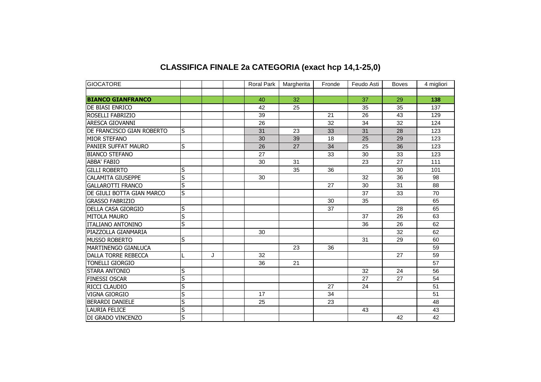| <b>GIOCATORE</b>           |                         |   | <b>Roral Park</b> | Margherita | Fronde | Feudo Asti | <b>Boves</b> | 4 migliori |
|----------------------------|-------------------------|---|-------------------|------------|--------|------------|--------------|------------|
|                            |                         |   |                   |            |        |            |              |            |
| <b>BIANCO GIANFRANCO</b>   |                         |   | 40                | 32         |        | 37         | 29           | 138        |
| DE BIASI ENRICO            |                         |   | 42                | 25         |        | 35         | 35           | 137        |
| ROSELLI FABRIZIO           |                         |   | 39                |            | 21     | 26         | 43           | 129        |
| ARESCA GIOVANNI            |                         |   | 26                |            | 32     | 34         | 32           | 124        |
| DE FRANCISCO GIAN ROBERTO  | ls                      |   | 31                | 23         | 33     | 31         | 28           | 123        |
| <b>MIOR STEFANO</b>        |                         |   | 30                | 39         | 18     | 25         | 29           | 123        |
| PANIER SUFFAT MAURO        | S                       |   | 26                | 27         | 34     | 25         | 36           | 123        |
| <b>BIANCO STEFANO</b>      |                         |   | 27                |            | 33     | 30         | 33           | 123        |
| <b>ABBA' FABIO</b>         |                         |   | 30                | 31         |        | 23         | 27           | 111        |
| <b>GILLI ROBERTO</b>       | S                       |   |                   | 35         | 36     |            | 30           | 101        |
| <b>CALAMITA GIUSEPPE</b>   | S                       |   | 30                |            |        | 32         | 36           | 98         |
| <b>GALLAROTTI FRANCO</b>   | $\overline{\mathsf{s}}$ |   |                   |            | 27     | 30         | 31           | 88         |
| DE GIULI BOTTA GIAN MARCO  | S                       |   |                   |            |        | 37         | 33           | 70         |
| <b>GRASSO FABRIZIO</b>     |                         |   |                   |            | 30     | 35         |              | 65         |
| DELLA CASA GIORGIO         | $\overline{\mathsf{s}}$ |   |                   |            | 37     |            | 28           | 65         |
| <b>MITOLA MAURO</b>        | S                       |   |                   |            |        | 37         | 26           | 63         |
| <b>ITALIANO ANTONINO</b>   | S                       |   |                   |            |        | 36         | 26           | 62         |
| PIAZZOLLA GIANMARIA        |                         |   | 30                |            |        |            | 32           | 62         |
| <b>MUSSO ROBERTO</b>       | S                       |   |                   |            |        | 31         | 29           | 60         |
| MARTINENGO GIANLUCA        |                         |   |                   | 23         | 36     |            |              | 59         |
| <b>DALLA TORRE REBECCA</b> |                         | J | 32                |            |        |            | 27           | 59         |
| <b>TONELLI GIORGIO</b>     |                         |   | 36                | 21         |        |            |              | 57         |
| <b>STARA ANTONIO</b>       | S                       |   |                   |            |        | 32         | 24           | 56         |
| <b>FINESSI OSCAR</b>       | S                       |   |                   |            |        | 27         | 27           | 54         |
| RICCI CLAUDIO              | S                       |   |                   |            | 27     | 24         |              | 51         |
| <b>VIGNA GIORGIO</b>       | $\overline{\mathsf{s}}$ |   | 17                |            | 34     |            |              | 51         |
| <b>BERARDI DANIELE</b>     | S                       |   | 25                |            | 23     |            |              | 48         |
| <b>LAURIA FELICE</b>       | S                       |   |                   |            |        | 43         |              | 43         |
| DI GRADO VINCENZO          | S                       |   |                   |            |        |            | 42           | 42         |

### **CLASSIFICA FINALE 2a CATEGORIA (exact hcp 14,1-25,0)**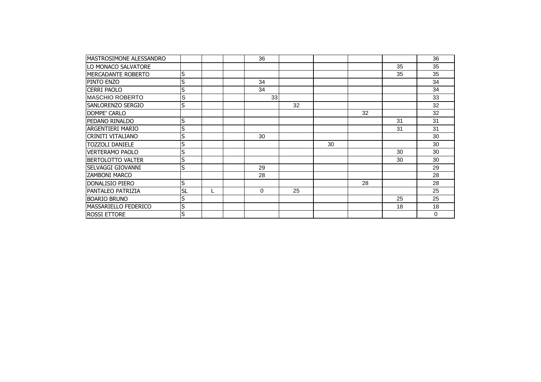| IMASTROSIMONE ALESSANDRO    |           |  | 36       |    |    |    |    | 36       |
|-----------------------------|-----------|--|----------|----|----|----|----|----------|
| LO MONACO SALVATORE         |           |  |          |    |    |    | 35 | 35       |
| MERCADANTE ROBERTO          | S         |  |          |    |    |    | 35 | 35       |
| PINTO ENZO                  | S         |  | 34       |    |    |    |    | 34       |
| <b>CERRI PAOLO</b>          | S         |  | 34       |    |    |    |    | 34       |
| <b>MASCHIO ROBERTO</b>      | ls        |  | 33       |    |    |    |    | 33       |
| <b>SANLORENZO SERGIO</b>    | lS        |  |          | 32 |    |    |    | 32       |
| DOMPE' CARLO                |           |  |          |    |    | 32 |    | 32       |
| PEDANO RINALDO              | lS        |  |          |    |    |    | 31 | 31       |
| <b>ARGENTIERI MARIO</b>     | S         |  |          |    |    |    | 31 | 31       |
| CRINITI VITALIANO           | S         |  | 30       |    |    |    |    | 30       |
| <b>TOZZOLI DANIELE</b>      | S         |  |          |    | 30 |    |    | 30       |
| <b>VERTERAMO PAOLO</b>      | S         |  |          |    |    |    | 30 | 30       |
| <b>BERTOLOTTO VALTER</b>    | S         |  |          |    |    |    | 30 | 30       |
| SELVAGGI GIOVANNI           | S         |  | 29       |    |    |    |    | 29       |
| <b>ZAMBONI MARCO</b>        |           |  | 28       |    |    |    |    | 28       |
| <b>DONALISIO PIERO</b>      | ls        |  |          |    |    | 28 |    | 28       |
| <b>PANTALEO PATRIZIA</b>    | <b>SL</b> |  | $\Omega$ | 25 |    |    |    | 25       |
| <b>BOARIO BRUNO</b>         | lS        |  |          |    |    |    | 25 | 25       |
| <b>MASSARIELLO FEDERICO</b> | S         |  |          |    |    |    | 18 | 18       |
| <b>ROSSI ETTORE</b>         | lS        |  |          |    |    |    |    | $\Omega$ |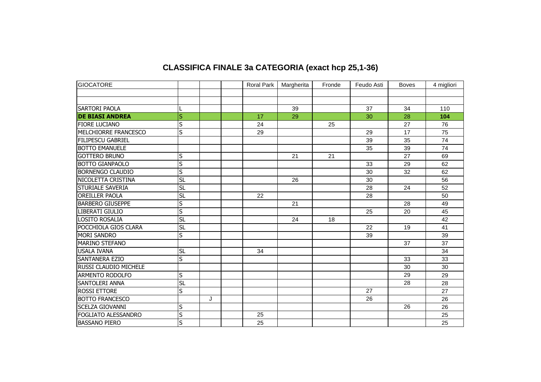### **CLASSIFICA FINALE 3a CATEGORIA (exact hcp 25,1-36)**

| <b>GIOCATORE</b>             |                         |   | Roral Park | Margherita | Fronde | Feudo Asti | <b>Boves</b> | 4 migliori |
|------------------------------|-------------------------|---|------------|------------|--------|------------|--------------|------------|
|                              |                         |   |            |            |        |            |              |            |
|                              |                         |   |            |            |        |            |              |            |
| <b>SARTORI PAOLA</b>         |                         |   |            | 39         |        | 37         | 34           | 110        |
| <b>DE BIASI ANDREA</b>       | $\overline{\mathsf{s}}$ |   | 17         | 29         |        | 30         | 28           | 104        |
| <b>FIORE LUCIANO</b>         | $\mathsf S$             |   | 24         |            | 25     |            | 27           | 76         |
| MELCHIORRE FRANCESCO         | S                       |   | 29         |            |        | 29         | 17           | 75         |
| <b>FILIPESCU GABRIEL</b>     |                         |   |            |            |        | 39         | 35           | 74         |
| <b>BOTTO EMANUELE</b>        |                         |   |            |            |        | 35         | 39           | 74         |
| <b>GOTTERO BRUNO</b>         | S                       |   |            | 21         | 21     |            | 27           | 69         |
| <b>BOTTO GIANPAOLO</b>       | $\overline{\mathsf{s}}$ |   |            |            |        | 33         | 29           | 62         |
| <b>BORNENGO CLAUDIO</b>      | $\overline{\mathsf{s}}$ |   |            |            |        | 30         | 32           | 62         |
| NICOLETTA CRISTINA           | <b>SL</b>               |   |            | 26         |        | 30         |              | 56         |
| <b>STURIALE SAVERIA</b>      | <b>SL</b>               |   |            |            |        | 28         | 24           | 52         |
| <b>OREILLER PAOLA</b>        | <b>SL</b>               |   | 22         |            |        | 28         |              | 50         |
| <b>BARBERO GIUSEPPE</b>      | S                       |   |            | 21         |        |            | 28           | 49         |
| LIBERATI GIULIO              | $\overline{\mathsf{s}}$ |   |            |            |        | 25         | 20           | 45         |
| <b>LOSITO ROSALIA</b>        | <b>SL</b>               |   |            | 24         | 18     |            |              | 42         |
| POCCHIOLA GIOS CLARA         | SL                      |   |            |            |        | 22         | 19           | 41         |
| <b>MORI SANDRO</b>           | $\overline{\mathsf{s}}$ |   |            |            |        | 39         |              | 39         |
| <b>MARINO STEFANO</b>        |                         |   |            |            |        |            | 37           | 37         |
| <b>USALA IVANA</b>           | <b>SL</b>               |   | 34         |            |        |            |              | 34         |
| <b>SANTANERA EZIO</b>        | $\overline{\mathsf{s}}$ |   |            |            |        |            | 33           | 33         |
| <b>RUSSI CLAUDIO MICHELE</b> |                         |   |            |            |        |            | 30           | 30         |
| <b>ARMENTO RODOLFO</b>       | $\sf S$                 |   |            |            |        |            | 29           | 29         |
| <b>SANTOLERI ANNA</b>        | <b>SL</b>               |   |            |            |        |            | 28           | 28         |
| <b>ROSSI ETTORE</b>          | $\overline{\mathsf{s}}$ |   |            |            |        | 27         |              | 27         |
| <b>BOTTO FRANCESCO</b>       |                         | J |            |            |        | 26         |              | 26         |
| <b>SCELZA GIOVANNI</b>       | S                       |   |            |            |        |            | 26           | 26         |
| FOGLIATO ALESSANDRO          | $\overline{\mathsf{s}}$ |   | 25         |            |        |            |              | 25         |
| <b>BASSANO PIERO</b>         | $\overline{\mathsf{s}}$ |   | 25         |            |        |            |              | 25         |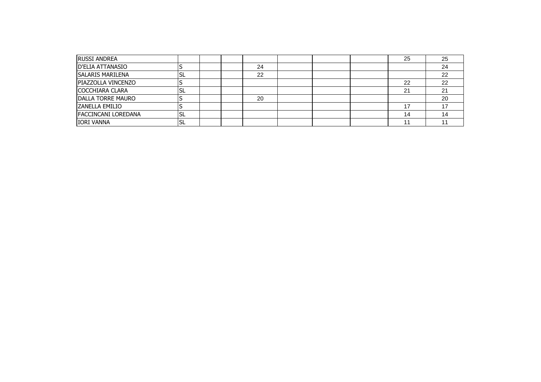| <b>RUSSI ANDREA</b>        |    |  |    |  | 25 | 25  |
|----------------------------|----|--|----|--|----|-----|
| D'ELIA ATTANASIO           |    |  | 24 |  |    | 24  |
| <b>SALARIS MARILENA</b>    | SL |  | 22 |  |    | 22  |
| <b>PIAZZOLLA VINCENZO</b>  |    |  |    |  | 22 | 22  |
| COCCHIARA CLARA            | SL |  |    |  | 21 | າ 1 |
| <b>DALLA TORRE MAURO</b>   |    |  | 20 |  |    | 20  |
| <b>ZANELLA EMILIO</b>      |    |  |    |  | ᅠ  |     |
| <b>FACCINCANI LOREDANA</b> | SL |  |    |  | 14 | 14  |
| <b>IORI VANNA</b>          | SL |  |    |  |    |     |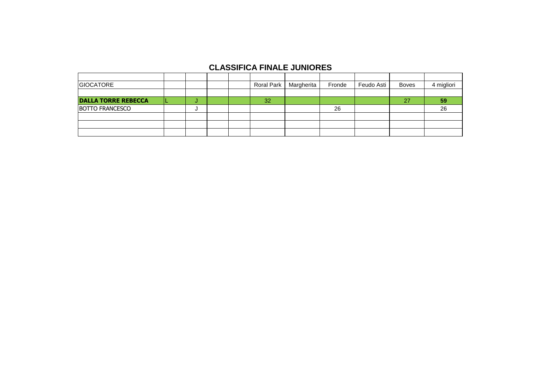#### **CLASSIFICA FINALE JUNIORES**

| <b>GIOCATORE</b>           |         |        |  |    | Roral Park   Margherita | Fronde | Feudo Asti | <b>Boves</b> | 4 migliori |
|----------------------------|---------|--------|--|----|-------------------------|--------|------------|--------------|------------|
|                            |         |        |  |    |                         |        |            |              |            |
| <b>DALLA TORRE REBECCA</b> |         | $\sim$ |  | 32 |                         |        |            | 27           | 59         |
| <b>BOTTO FRANCESCO</b>     | 26<br>u |        |  | 26 |                         |        |            |              |            |
|                            |         |        |  |    |                         |        |            |              |            |
|                            |         |        |  |    |                         |        |            |              |            |
|                            |         |        |  |    |                         |        |            |              |            |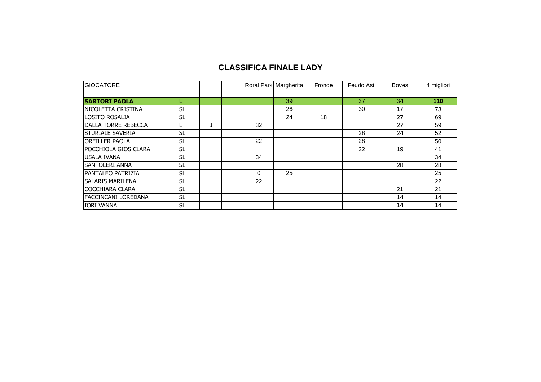#### **CLASSIFICA FINALE LADY**

| <b>GIOCATORE</b>           |           |   |          | Roral Park Margherita | Fronde | Feudo Asti | <b>Boves</b> | 4 migliori |
|----------------------------|-----------|---|----------|-----------------------|--------|------------|--------------|------------|
|                            |           |   |          |                       |        |            |              |            |
| <b>SARTORI PAOLA</b>       |           |   |          | 39                    |        | 37         | 34           | 110        |
| NICOLETTA CRISTINA         | <b>SL</b> |   |          | 26                    |        | 30         | 17           | 73         |
| LOSITO ROSALIA             | <b>SL</b> |   |          | 24                    | 18     |            | 27           | 69         |
| <b>DALLA TORRE REBECCA</b> |           | J | 32       |                       |        |            | 27           | 59         |
| <b>STURIALE SAVERIA</b>    | <b>SL</b> |   |          |                       |        | 28         | 24           | 52         |
| <b>OREILLER PAOLA</b>      | <b>SL</b> |   | 22       |                       |        | 28         |              | 50         |
| POCCHIOLA GIOS CLARA       | <b>SL</b> |   |          |                       |        | 22         | 19           | 41         |
| <b>USALA IVANA</b>         | <b>SL</b> |   | 34       |                       |        |            |              | 34         |
| <b>SANTOLERI ANNA</b>      | <b>SL</b> |   |          |                       |        |            | 28           | 28         |
| <b>PANTALEO PATRIZIA</b>   | <b>SL</b> |   | $\Omega$ | 25                    |        |            |              | 25         |
| <b>SALARIS MARILENA</b>    | <b>SL</b> |   | 22       |                       |        |            |              | 22         |
| <b>COCCHIARA CLARA</b>     | <b>SL</b> |   |          |                       |        |            | 21           | 21         |
| <b>FACCINCANI LOREDANA</b> | <b>SL</b> |   |          |                       |        |            | 14           | 14         |
| <b>IORI VANNA</b>          | <b>SL</b> |   |          |                       |        |            | 14           | 14         |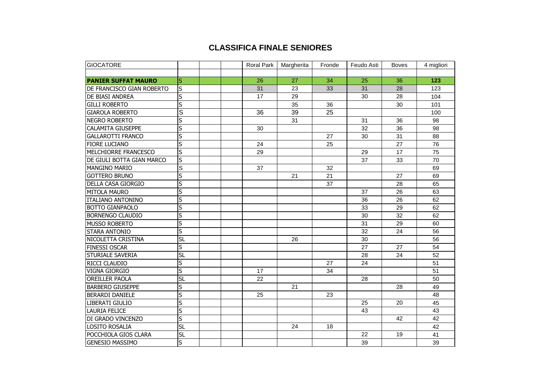#### **CLASSIFICA FINALE SENIORES**

| <b>GIOCATORE</b>           |                         |  | <b>Roral Park</b> | Margherita | Fronde | Feudo Asti | <b>Boves</b> | 4 migliori |
|----------------------------|-------------------------|--|-------------------|------------|--------|------------|--------------|------------|
|                            |                         |  |                   |            |        |            |              |            |
| <b>PANIER SUFFAT MAURO</b> | S                       |  | 26                | 27         | 34     | 25         | 36           | 123        |
| IDE FRANCISCO GIAN ROBERTO | S                       |  | 31                | 23         | 33     | 31         | 28           | 123        |
| <b>DE BIASI ANDREA</b>     | S                       |  | 17                | 29         |        | 30         | 28           | 104        |
| <b>GILLI ROBERTO</b>       | $\overline{\mathsf{s}}$ |  |                   | 35         | 36     |            | 30           | 101        |
| <b>GIAROLA ROBERTO</b>     | S                       |  | 36                | 39         | 25     |            |              | 100        |
| NEGRO ROBERTO              | S                       |  |                   | 31         |        | 31         | 36           | 98         |
| <b>CALAMITA GIUSEPPE</b>   | $\overline{\mathsf{s}}$ |  | 30                |            |        | 32         | 36           | 98         |
| <b>GALLAROTTI FRANCO</b>   | S                       |  |                   |            | 27     | 30         | 31           | 88         |
| <b>FIORE LUCIANO</b>       | S                       |  | 24                |            | 25     |            | 27           | 76         |
| MELCHIORRE FRANCESCO       | $\overline{\mathsf{s}}$ |  | 29                |            |        | 29         | 17           | 75         |
| DE GIULI BOTTA GIAN MARCO  | S                       |  |                   |            |        | 37         | 33           | 70         |
| <b>MANGINO MARIO</b>       | S                       |  | 37                |            | 32     |            |              | 69         |
| <b>GOTTERO BRUNO</b>       | S                       |  |                   | 21         | 21     |            | 27           | 69         |
| <b>DELLA CASA GIORGIO</b>  | $\overline{\mathsf{s}}$ |  |                   |            | 37     |            | 28           | 65         |
| <b>MITOLA MAURO</b>        | S                       |  |                   |            |        | 37         | 26           | 63         |
| <b>ITALIANO ANTONINO</b>   | S                       |  |                   |            |        | 36         | 26           | 62         |
| <b>BOTTO GIANPAOLO</b>     | $\overline{\mathsf{s}}$ |  |                   |            |        | 33         | 29           | 62         |
| <b>BORNENGO CLAUDIO</b>    | S                       |  |                   |            |        | 30         | 32           | 62         |
| <b>MUSSO ROBERTO</b>       | S                       |  |                   |            |        | 31         | 29           | 60         |
| <b>STARA ANTONIO</b>       | S                       |  |                   |            |        | 32         | 24           | 56         |
| NICOLETTA CRISTINA         | <b>SL</b>               |  |                   | 26         |        | 30         |              | 56         |
| <b>FINESSI OSCAR</b>       | $\overline{\mathsf{s}}$ |  |                   |            |        | 27         | 27           | 54         |
| <b>STURIALE SAVERIA</b>    | <b>SL</b>               |  |                   |            |        | 28         | 24           | 52         |
| <b>RICCI CLAUDIO</b>       | S                       |  |                   |            | 27     | 24         |              | 51         |
| <b>VIGNA GIORGIO</b>       | S                       |  | 17                |            | 34     |            |              | 51         |
| <b>OREILLER PAOLA</b>      | <b>SL</b>               |  | 22                |            |        | 28         |              | 50         |
| <b>BARBERO GIUSEPPE</b>    | S                       |  |                   | 21         |        |            | 28           | 49         |
| <b>BERARDI DANIELE</b>     | $\overline{\mathsf{s}}$ |  | 25                |            | 23     |            |              | 48         |
| LIBERATI GIULIO            | $\overline{\mathsf{s}}$ |  |                   |            |        | 25         | 20           | 45         |
| <b>LAURIA FELICE</b>       | $\overline{\mathsf{s}}$ |  |                   |            |        | 43         |              | 43         |
| DI GRADO VINCENZO          | S                       |  |                   |            |        |            | 42           | 42         |
| LOSITO ROSALIA             | <b>SL</b>               |  |                   | 24         | 18     |            |              | 42         |
| POCCHIOLA GIOS CLARA       | <b>SL</b>               |  |                   |            |        | 22         | 19           | 41         |
| <b>GENESIO MASSIMO</b>     | S                       |  |                   |            |        | 39         |              | 39         |